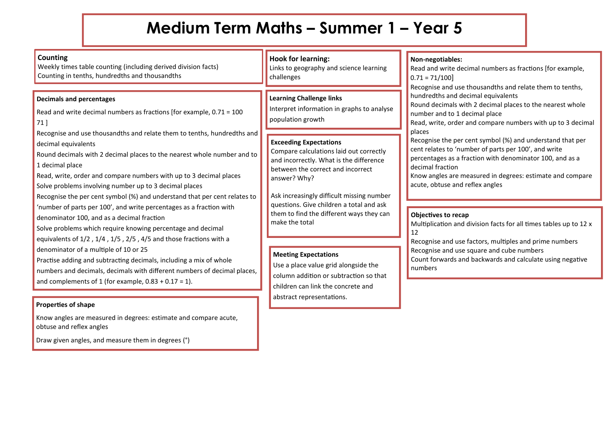## **Medium Term Maths – Summer 1 – Year 5**

| <b>Counting</b><br>Weekly times table counting (including derived division facts)<br>Counting in tenths, hundredths and thousandths                                                                                                                                                                                                                                                                                                                                                                                              | <b>Hook for learning:</b><br>Links to geography and science learning<br>challenges                                                                                                                                    | Non-negotiables:<br>Read and write decimal numbers as fractions [for example,<br>$0.71 = 71/100$<br>Recognise and use thousandths and relate them to tenths,                                                                                                                                                                                                                                                                                                                                                   |
|----------------------------------------------------------------------------------------------------------------------------------------------------------------------------------------------------------------------------------------------------------------------------------------------------------------------------------------------------------------------------------------------------------------------------------------------------------------------------------------------------------------------------------|-----------------------------------------------------------------------------------------------------------------------------------------------------------------------------------------------------------------------|----------------------------------------------------------------------------------------------------------------------------------------------------------------------------------------------------------------------------------------------------------------------------------------------------------------------------------------------------------------------------------------------------------------------------------------------------------------------------------------------------------------|
| <b>Decimals and percentages</b><br>Read and write decimal numbers as fractions [for example, $0.71 = 100$<br>$71$ ]<br>Recognise and use thousandths and relate them to tenths, hundredths and<br>decimal equivalents<br>Round decimals with 2 decimal places to the nearest whole number and to<br>1 decimal place<br>Read, write, order and compare numbers with up to 3 decimal places<br>Solve problems involving number up to 3 decimal places<br>Recognise the per cent symbol (%) and understand that per cent relates to | <b>Learning Challenge links</b><br>Interpret information in graphs to analyse<br>population growth                                                                                                                    | hundredths and decimal equivalents<br>Round decimals with 2 decimal places to the nearest whole<br>number and to 1 decimal place<br>Read, write, order and compare numbers with up to 3 decimal<br>places<br>Recognise the per cent symbol (%) and understand that per<br>cent relates to 'number of parts per 100', and write<br>percentages as a fraction with denominator 100, and as a<br>decimal fraction<br>Know angles are measured in degrees: estimate and compare<br>acute, obtuse and reflex angles |
|                                                                                                                                                                                                                                                                                                                                                                                                                                                                                                                                  | <b>Exceeding Expectations</b><br>Compare calculations laid out correctly<br>and incorrectly. What is the difference<br>between the correct and incorrect<br>answer? Why?<br>Ask increasingly difficult missing number |                                                                                                                                                                                                                                                                                                                                                                                                                                                                                                                |
| 'number of parts per 100', and write percentages as a fraction with<br>denominator 100, and as a decimal fraction<br>Solve problems which require knowing percentage and decimal<br>equivalents of 1/2, 1/4, 1/5, 2/5, 4/5 and those fractions with a                                                                                                                                                                                                                                                                            | questions. Give children a total and ask<br>them to find the different ways they can<br>make the total                                                                                                                | Objectives to recap<br>Multiplication and division facts for all times tables up to 12 x<br>12<br>Recognise and use factors, multiples and prime numbers                                                                                                                                                                                                                                                                                                                                                       |
| denominator of a multiple of 10 or 25<br>Practise adding and subtracting decimals, including a mix of whole<br>numbers and decimals, decimals with different numbers of decimal places,<br>and complements of 1 (for example, $0.83 + 0.17 = 1$ ).                                                                                                                                                                                                                                                                               | <b>Meeting Expectations</b><br>Use a place value grid alongside the<br>column addition or subtraction so that<br>children can link the concrete and<br>abstract representations.                                      | Recognise and use square and cube numbers<br>Count forwards and backwards and calculate using negative<br>numbers                                                                                                                                                                                                                                                                                                                                                                                              |

## **Properties of shape**

Know angles are measured in degrees: estimate and compare acute, obtuse and reflex angles

Draw given angles, and measure them in degrees (°)